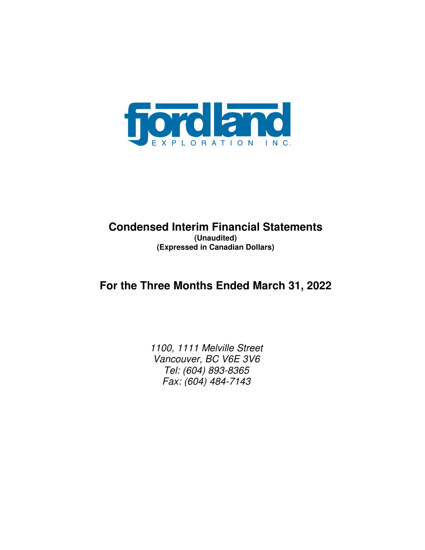

## **Condensed Interim Financial Statements (Unaudited) (Expressed in Canadian Dollars)**

# **For the Three Months Ended March 31, 2022**

1100, 1111 Melville Street Vancouver, BC V6E 3V6 Tel: (604) 893-8365 Fax: (604) 484-7143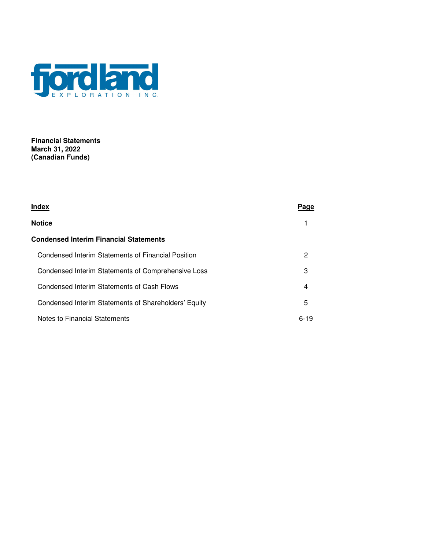

**Financial Statements March 31, 2022 (Canadian Funds)** 

| Index                                                | Page     |
|------------------------------------------------------|----------|
| <b>Notice</b>                                        |          |
| Condensed Interim Financial Statements               |          |
| Condensed Interim Statements of Financial Position   | 2        |
| Condensed Interim Statements of Comprehensive Loss   | 3        |
| Condensed Interim Statements of Cash Flows           | 4        |
| Condensed Interim Statements of Shareholders' Equity | 5        |
| Notes to Financial Statements                        | $6 - 19$ |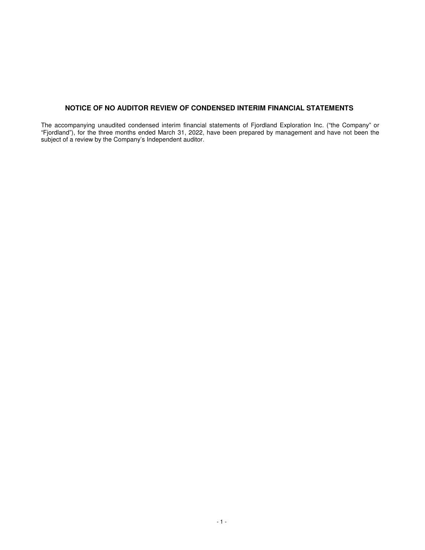### **NOTICE OF NO AUDITOR REVIEW OF CONDENSED INTERIM FINANCIAL STATEMENTS**

The accompanying unaudited condensed interim financial statements of Fjordland Exploration Inc. ("the Company" or "Fjordland"), for the three months ended March 31, 2022, have been prepared by management and have not been the subject of a review by the Company's Independent auditor.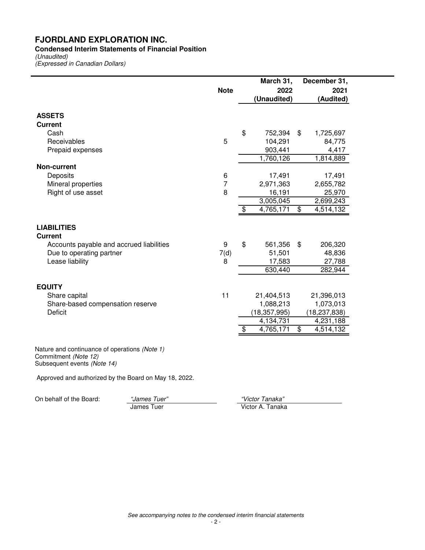### **Condensed Interim Statements of Financial Position**

(Unaudited) (Expressed in Canadian Dollars)

|                                                                                                      |                | March 31,       | December 31,    |
|------------------------------------------------------------------------------------------------------|----------------|-----------------|-----------------|
|                                                                                                      | <b>Note</b>    | 2022            | 2021            |
|                                                                                                      |                | (Unaudited)     | (Audited)       |
|                                                                                                      |                |                 |                 |
| <b>ASSETS</b>                                                                                        |                |                 |                 |
| <b>Current</b>                                                                                       |                |                 |                 |
| Cash                                                                                                 |                | \$<br>752,394   | \$<br>1,725,697 |
| Receivables                                                                                          | 5              | 104,291         | 84,775          |
| Prepaid expenses                                                                                     |                | 903,441         | 4,417           |
|                                                                                                      |                | 1,760,126       | 1,814,889       |
| <b>Non-current</b>                                                                                   |                |                 |                 |
| Deposits                                                                                             | 6              | 17,491          | 17,491          |
| Mineral properties                                                                                   | $\overline{7}$ | 2,971,363       | 2,655,782       |
| Right of use asset                                                                                   | 8              | 16,191          | 25,970          |
|                                                                                                      |                | 3,005,045       | 2,699,243       |
|                                                                                                      |                | \$<br>4,765,171 | \$<br>4,514,132 |
| <b>LIABILITIES</b><br><b>Current</b>                                                                 |                |                 |                 |
| Accounts payable and accrued liabilities                                                             | 9              | \$<br>561,356   | \$<br>206,320   |
| Due to operating partner                                                                             | 7(d)           | 51,501          | 48,836          |
| Lease liability                                                                                      | 8              | 17,583          | 27,788          |
|                                                                                                      |                | 630,440         | 282,944         |
| <b>EQUITY</b>                                                                                        |                |                 |                 |
| Share capital                                                                                        | 11             | 21,404,513      | 21,396,013      |
| Share-based compensation reserve                                                                     |                | 1,088,213       | 1,073,013       |
| <b>Deficit</b>                                                                                       |                | (18, 357, 995)  | (18, 237, 838)  |
|                                                                                                      |                | 4,134,731       | 4,231,188       |
|                                                                                                      |                | \$<br>4,765,171 | \$<br>4,514,132 |
| Nature and continuance of operations (Note 1)<br>Commitment (Note 12)<br>Subsequent events (Note 14) |                |                 |                 |

Approved and authorized by the Board on May 18, 2022.

On behalf of the Board: "James Tuer"<br>James Tuer

"Victor Tanaka"<br>Victor A. Tanaka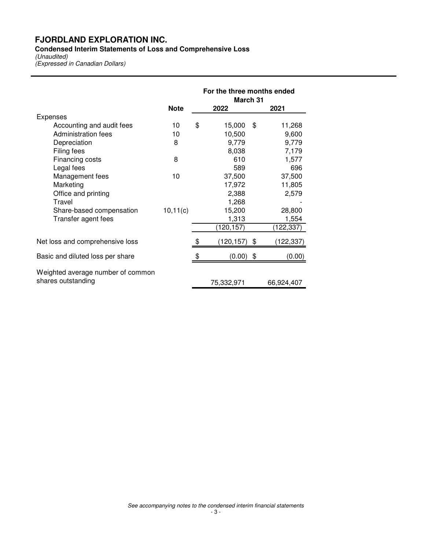**Condensed Interim Statements of Loss and Comprehensive Loss** 

(Unaudited) (Expressed in Canadian Dollars)

|                                   |             | For the three months ended<br>March 31 |            |    |            |  |
|-----------------------------------|-------------|----------------------------------------|------------|----|------------|--|
|                                   | <b>Note</b> |                                        | 2022       |    | 2021       |  |
| Expenses                          |             |                                        |            |    |            |  |
| Accounting and audit fees         | 10          | \$                                     | 15,000     | \$ | 11,268     |  |
| Administration fees               | 10          |                                        | 10,500     |    | 9,600      |  |
| Depreciation                      | 8           |                                        | 9,779      |    | 9,779      |  |
| Filing fees                       |             |                                        | 8,038      |    | 7,179      |  |
| Financing costs                   | 8           |                                        | 610        |    | 1,577      |  |
| Legal fees                        |             |                                        | 589        |    | 696        |  |
| Management fees                   | 10          |                                        | 37,500     |    | 37,500     |  |
| Marketing                         |             |                                        | 17,972     |    | 11,805     |  |
| Office and printing               |             |                                        | 2,388      |    | 2,579      |  |
| Travel                            |             |                                        | 1,268      |    |            |  |
| Share-based compensation          | 10, 11(c)   |                                        | 15,200     |    | 28,800     |  |
| Transfer agent fees               |             |                                        | 1,313      |    | 1,554      |  |
|                                   |             |                                        | (120, 157) |    | (122,337)  |  |
| Net loss and comprehensive loss   |             |                                        | (120, 157) | \$ | (122,337)  |  |
| Basic and diluted loss per share  |             |                                        | (0.00)     | \$ | (0.00)     |  |
| Weighted average number of common |             |                                        |            |    |            |  |
| shares outstanding                |             |                                        | 75,332,971 |    | 66,924,407 |  |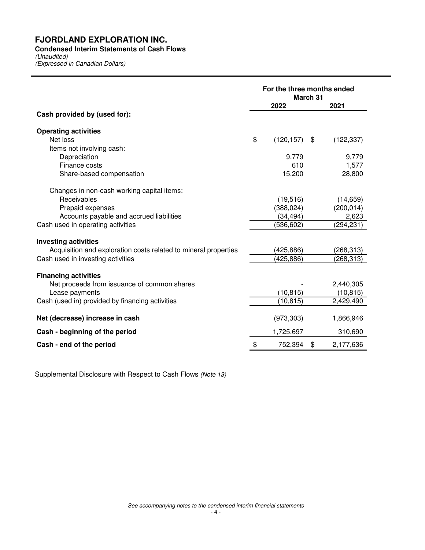### **Condensed Interim Statements of Cash Flows**

(Unaudited) (Expressed in Canadian Dollars)

|                                                                 | For the three months ended<br>March 31 |            |    |            |  |
|-----------------------------------------------------------------|----------------------------------------|------------|----|------------|--|
|                                                                 |                                        | 2022       |    | 2021       |  |
| Cash provided by (used for):                                    |                                        |            |    |            |  |
| <b>Operating activities</b>                                     |                                        |            |    |            |  |
| Net loss                                                        | \$                                     | (120, 157) | \$ | (122, 337) |  |
| Items not involving cash:                                       |                                        |            |    |            |  |
| Depreciation                                                    |                                        | 9,779      |    | 9,779      |  |
| Finance costs                                                   |                                        | 610        |    | 1,577      |  |
| Share-based compensation                                        |                                        | 15,200     |    | 28,800     |  |
| Changes in non-cash working capital items:                      |                                        |            |    |            |  |
| Receivables                                                     |                                        | (19, 516)  |    | (14, 659)  |  |
| Prepaid expenses                                                |                                        | (388, 024) |    | (200, 014) |  |
| Accounts payable and accrued liabilities                        |                                        | (34, 494)  |    | 2,623      |  |
| Cash used in operating activities                               |                                        | (536, 602) |    | (294, 231) |  |
| <b>Investing activities</b>                                     |                                        |            |    |            |  |
| Acquisition and exploration costs related to mineral properties |                                        | (425,886)  |    | (268, 313) |  |
| Cash used in investing activities                               |                                        | (425,886)  |    | (268,313)  |  |
| <b>Financing activities</b>                                     |                                        |            |    |            |  |
| Net proceeds from issuance of common shares                     |                                        |            |    | 2,440,305  |  |
| Lease payments                                                  |                                        | (10, 815)  |    | (10, 815)  |  |
| Cash (used in) provided by financing activities                 |                                        | (10, 815)  |    | 2,429,490  |  |
| Net (decrease) increase in cash                                 |                                        | (973, 303) |    | 1,866,946  |  |
| Cash - beginning of the period                                  |                                        | 1,725,697  |    | 310,690    |  |
| Cash - end of the period                                        | \$                                     | 752,394    | \$ | 2,177,636  |  |

Supplemental Disclosure with Respect to Cash Flows (Note 13)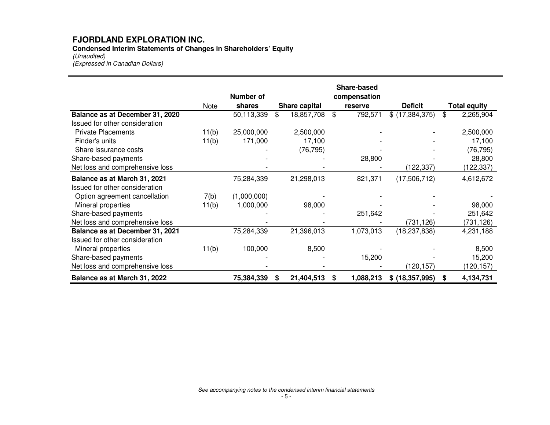**Condensed Interim Statements of Changes in Shareholders' Equity** (Unaudited)

(Expressed in Canadian Dollars)

|                                 |             | <b>Number of</b> |                  |    | <b>Share-based</b><br>compensation |                   |    |                     |
|---------------------------------|-------------|------------------|------------------|----|------------------------------------|-------------------|----|---------------------|
|                                 | <b>Note</b> | shares           | Share capital    |    | reserve                            | <b>Deficit</b>    |    | <b>Total equity</b> |
| Balance as at December 31, 2020 |             | 50,113,339       | \$<br>18,857,708 | \$ | 792,571                            | \$ (17,384,375)   | \$ | 2,265,904           |
| Issued for other consideration  |             |                  |                  |    |                                    |                   |    |                     |
| <b>Private Placements</b>       | 11(b)       | 25,000,000       | 2,500,000        |    |                                    |                   |    | 2,500,000           |
| Finder's units                  | 11(b)       | 171,000          | 17,100           |    |                                    |                   |    | 17,100              |
| Share issurance costs           |             |                  | (76, 795)        |    |                                    |                   |    | (76, 795)           |
| Share-based payments            |             |                  |                  |    | 28,800                             |                   |    | 28,800              |
| Net loss and comprehensive loss |             |                  |                  |    |                                    | (122, 337)        |    | (122, 337)          |
| Balance as at March 31, 2021    |             | 75,284,339       | 21,298,013       |    | 821,371                            | (17,506,712)      |    | 4,612,672           |
| Issued for other consideration  |             |                  |                  |    |                                    |                   |    |                     |
| Option agreement cancellation   | 7(b)        | (1,000,000)      |                  |    |                                    |                   |    |                     |
| Mineral properties              | 11(b)       | 1,000,000        | 98,000           |    |                                    |                   |    | 98,000              |
| Share-based payments            |             |                  |                  |    | 251,642                            |                   |    | 251,642             |
| Net loss and comprehensive loss |             |                  |                  |    |                                    | (731, 126)        |    | (731, 126)          |
| Balance as at December 31, 2021 |             | 75,284,339       | 21,396,013       |    | 1,073,013                          | (18, 237, 838)    |    | 4,231,188           |
| Issued for other consideration  |             |                  |                  |    |                                    |                   |    |                     |
| Mineral properties              | 11(b)       | 100,000          | 8,500            |    |                                    |                   |    | 8,500               |
| Share-based payments            |             |                  |                  |    | 15,200                             |                   |    | 15,200              |
| Net loss and comprehensive loss |             |                  |                  |    |                                    | (120,157)         |    | (120, 157)          |
| Balance as at March 31, 2022    |             | 75,384,339       | 21,404,513<br>S  | S  | 1,088,213                          | \$ (18, 357, 995) | S  | 4,134,731           |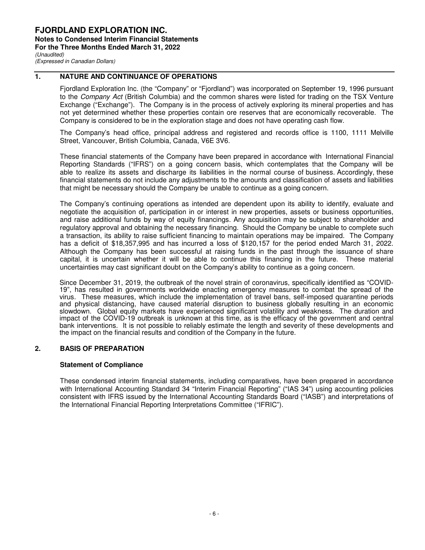### **1. NATURE AND CONTINUANCE OF OPERATIONS**

Fjordland Exploration Inc. (the "Company" or "Fjordland") was incorporated on September 19, 1996 pursuant to the Company Act (British Columbia) and the common shares were listed for trading on the TSX Venture Exchange ("Exchange"). The Company is in the process of actively exploring its mineral properties and has not yet determined whether these properties contain ore reserves that are economically recoverable. The Company is considered to be in the exploration stage and does not have operating cash flow.

The Company's head office, principal address and registered and records office is 1100, 1111 Melville Street, Vancouver, British Columbia, Canada, V6E 3V6.

These financial statements of the Company have been prepared in accordance with International Financial Reporting Standards ("IFRS") on a going concern basis, which contemplates that the Company will be able to realize its assets and discharge its liabilities in the normal course of business. Accordingly, these financial statements do not include any adjustments to the amounts and classification of assets and liabilities that might be necessary should the Company be unable to continue as a going concern.

The Company's continuing operations as intended are dependent upon its ability to identify, evaluate and negotiate the acquisition of, participation in or interest in new properties, assets or business opportunities, and raise additional funds by way of equity financings. Any acquisition may be subject to shareholder and regulatory approval and obtaining the necessary financing. Should the Company be unable to complete such a transaction, its ability to raise sufficient financing to maintain operations may be impaired. The Company has a deficit of \$18,357,995 and has incurred a loss of \$120,157 for the period ended March 31, 2022. Although the Company has been successful at raising funds in the past through the issuance of share capital, it is uncertain whether it will be able to continue this financing in the future. These material uncertainties may cast significant doubt on the Company's ability to continue as a going concern.

Since December 31, 2019, the outbreak of the novel strain of coronavirus, specifically identified as "COVID-19", has resulted in governments worldwide enacting emergency measures to combat the spread of the virus. These measures, which include the implementation of travel bans, self-imposed quarantine periods and physical distancing, have caused material disruption to business globally resulting in an economic slowdown. Global equity markets have experienced significant volatility and weakness. The duration and impact of the COVID-19 outbreak is unknown at this time, as is the efficacy of the government and central bank interventions. It is not possible to reliably estimate the length and severity of these developments and the impact on the financial results and condition of the Company in the future.

### **2. BASIS OF PREPARATION**

#### **Statement of Compliance**

These condensed interim financial statements, including comparatives, have been prepared in accordance with International Accounting Standard 34 "Interim Financial Reporting" ("IAS 34") using accounting policies consistent with IFRS issued by the International Accounting Standards Board ("IASB") and interpretations of the International Financial Reporting Interpretations Committee ("IFRIC").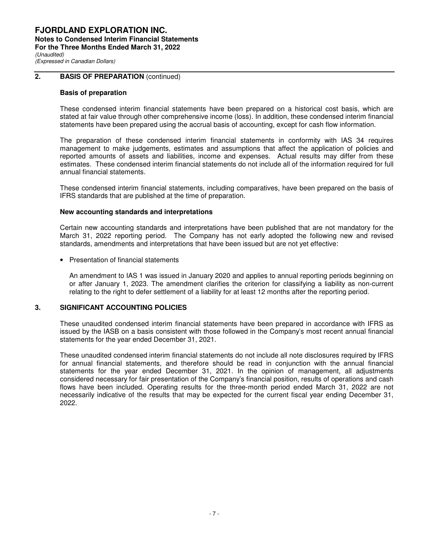#### **FJORDLAND EXPLORATION INC. Notes to Condensed Interim Financial Statements For the Three Months Ended March 31, 2022**  (Unaudited) (Expressed in Canadian Dollars)

### **2.** BASIS OF PREPARATION (continued)

#### **Basis of preparation**

These condensed interim financial statements have been prepared on a historical cost basis, which are stated at fair value through other comprehensive income (loss). In addition, these condensed interim financial statements have been prepared using the accrual basis of accounting, except for cash flow information.

The preparation of these condensed interim financial statements in conformity with IAS 34 requires management to make judgements, estimates and assumptions that affect the application of policies and reported amounts of assets and liabilities, income and expenses. Actual results may differ from these estimates. These condensed interim financial statements do not include all of the information required for full annual financial statements.

These condensed interim financial statements, including comparatives, have been prepared on the basis of IFRS standards that are published at the time of preparation.

#### **New accounting standards and interpretations**

Certain new accounting standards and interpretations have been published that are not mandatory for the March 31, 2022 reporting period. The Company has not early adopted the following new and revised standards, amendments and interpretations that have been issued but are not yet effective:

• Presentation of financial statements

An amendment to IAS 1 was issued in January 2020 and applies to annual reporting periods beginning on or after January 1, 2023. The amendment clarifies the criterion for classifying a liability as non-current relating to the right to defer settlement of a liability for at least 12 months after the reporting period.

#### **3. SIGNIFICANT ACCOUNTING POLICIES**

These unaudited condensed interim financial statements have been prepared in accordance with IFRS as issued by the IASB on a basis consistent with those followed in the Company's most recent annual financial statements for the year ended December 31, 2021.

These unaudited condensed interim financial statements do not include all note disclosures required by IFRS for annual financial statements, and therefore should be read in conjunction with the annual financial statements for the year ended December 31, 2021. In the opinion of management, all adjustments considered necessary for fair presentation of the Company's financial position, results of operations and cash flows have been included. Operating results for the three-month period ended March 31, 2022 are not necessarily indicative of the results that may be expected for the current fiscal year ending December 31, 2022.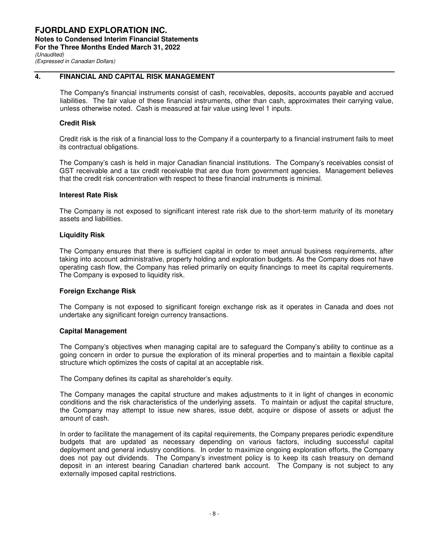### **4. FINANCIAL AND CAPITAL RISK MANAGEMENT**

The Company's financial instruments consist of cash, receivables, deposits, accounts payable and accrued liabilities. The fair value of these financial instruments, other than cash, approximates their carrying value, unless otherwise noted. Cash is measured at fair value using level 1 inputs.

#### **Credit Risk**

Credit risk is the risk of a financial loss to the Company if a counterparty to a financial instrument fails to meet its contractual obligations.

The Company's cash is held in major Canadian financial institutions. The Company's receivables consist of GST receivable and a tax credit receivable that are due from government agencies. Management believes that the credit risk concentration with respect to these financial instruments is minimal.

#### **Interest Rate Risk**

The Company is not exposed to significant interest rate risk due to the short-term maturity of its monetary assets and liabilities.

#### **Liquidity Risk**

The Company ensures that there is sufficient capital in order to meet annual business requirements, after taking into account administrative, property holding and exploration budgets. As the Company does not have operating cash flow, the Company has relied primarily on equity financings to meet its capital requirements. The Company is exposed to liquidity risk.

#### **Foreign Exchange Risk**

The Company is not exposed to significant foreign exchange risk as it operates in Canada and does not undertake any significant foreign currency transactions.

#### **Capital Management**

The Company's objectives when managing capital are to safeguard the Company's ability to continue as a going concern in order to pursue the exploration of its mineral properties and to maintain a flexible capital structure which optimizes the costs of capital at an acceptable risk.

The Company defines its capital as shareholder's equity.

The Company manages the capital structure and makes adjustments to it in light of changes in economic conditions and the risk characteristics of the underlying assets. To maintain or adjust the capital structure, the Company may attempt to issue new shares, issue debt, acquire or dispose of assets or adjust the amount of cash.

In order to facilitate the management of its capital requirements, the Company prepares periodic expenditure budgets that are updated as necessary depending on various factors, including successful capital deployment and general industry conditions. In order to maximize ongoing exploration efforts, the Company does not pay out dividends. The Company's investment policy is to keep its cash treasury on demand deposit in an interest bearing Canadian chartered bank account. The Company is not subject to any externally imposed capital restrictions.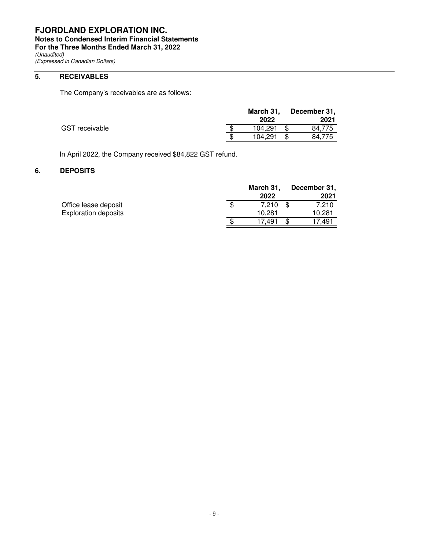**Notes to Condensed Interim Financial Statements** 

**For the Three Months Ended March 31, 2022** 

(Unaudited) (Expressed in Canadian Dollars)

### **5. RECEIVABLES**

The Company's receivables are as follows:

|                | March 31.<br>2022 | December 31,<br>2021 |
|----------------|-------------------|----------------------|
| GST receivable | 104.291           | 84.775               |
|                | 104,291           | 84,775               |

In April 2022, the Company received \$84,822 GST refund.

### **6. DEPOSITS**

|                             |     | March 31, | December 31, |
|-----------------------------|-----|-----------|--------------|
|                             |     | 2022      | 2021         |
| Office lease deposit        | \$. | 7.210     | 7.210        |
| <b>Exploration deposits</b> |     | 10.281    | 10,281       |
|                             | S   | 17.491    | 17.491       |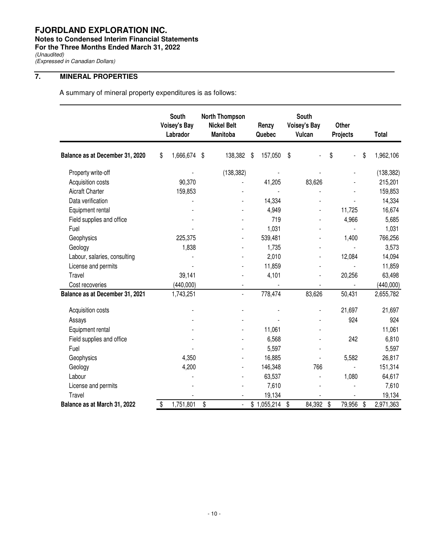### **Notes to Condensed Interim Financial Statements**

**For the Three Months Ended March 31, 2022** 

(Unaudited)

(Expressed in Canadian Dollars)

## **7. MINERAL PROPERTIES**

A summary of mineral property expenditures is as follows:

|                                 | South<br><b>Voisey's Bay</b><br>Labrador |           |     | <b>North Thompson</b><br><b>Nickel Belt</b><br><b>Manitoba</b> |    | South<br><b>Voisey's Bay</b><br>Renzy<br>Vulcan<br>Quebec |    | Other<br>Projects | <b>Total</b> |                 |
|---------------------------------|------------------------------------------|-----------|-----|----------------------------------------------------------------|----|-----------------------------------------------------------|----|-------------------|--------------|-----------------|
| Balance as at December 31, 2020 | \$                                       | 1,666,674 | -\$ | 138,382                                                        | \$ | 157,050                                                   | \$ |                   | \$           | \$<br>1,962,106 |
| Property write-off              |                                          |           |     | (138, 382)                                                     |    |                                                           |    |                   |              | (138, 382)      |
| Acquisition costs               |                                          | 90,370    |     |                                                                |    | 41,205                                                    |    | 83,626            |              | 215,201         |
| <b>Aicraft Charter</b>          |                                          | 159,853   |     |                                                                |    |                                                           |    |                   |              | 159,853         |
| Data verification               |                                          |           |     |                                                                |    | 14,334                                                    |    |                   |              | 14,334          |
| Equipment rental                |                                          |           |     |                                                                |    | 4,949                                                     |    |                   | 11,725       | 16,674          |
| Field supplies and office       |                                          |           |     |                                                                |    | 719                                                       |    |                   | 4,966        | 5,685           |
| Fuel                            |                                          |           |     |                                                                |    | 1,031                                                     |    |                   |              | 1,031           |
| Geophysics                      |                                          | 225,375   |     |                                                                |    | 539,481                                                   |    |                   | 1,400        | 766,256         |
| Geology                         |                                          | 1,838     |     |                                                                |    | 1,735                                                     |    |                   |              | 3,573           |
| Labour, salaries, consulting    |                                          |           |     |                                                                |    | 2,010                                                     |    |                   | 12,084       | 14,094          |
| License and permits             |                                          |           |     |                                                                |    | 11,859                                                    |    |                   |              | 11,859          |
| Travel                          |                                          | 39,141    |     |                                                                |    | 4,101                                                     |    |                   | 20,256       | 63,498          |
| Cost recoveries                 |                                          | (440,000) |     | $\overline{a}$                                                 |    |                                                           |    |                   |              | (440,000)       |
| Balance as at December 31, 2021 |                                          | 1,743,251 |     | $\overline{\phantom{a}}$                                       |    | 778,474                                                   |    | 83,626            | 50,431       | 2,655,782       |
| Acquisition costs               |                                          |           |     |                                                                |    |                                                           |    |                   | 21,697       | 21,697          |
| Assays                          |                                          |           |     |                                                                |    |                                                           |    |                   | 924          | 924             |
| Equipment rental                |                                          |           |     |                                                                |    | 11,061                                                    |    |                   |              | 11,061          |
| Field supplies and office       |                                          |           |     |                                                                |    | 6,568                                                     |    |                   | 242          | 6,810           |
| Fuel                            |                                          |           |     |                                                                |    | 5,597                                                     |    |                   |              | 5,597           |
| Geophysics                      |                                          | 4,350     |     | ٠                                                              |    | 16,885                                                    |    |                   | 5,582        | 26,817          |
| Geology                         |                                          | 4,200     |     | ٠                                                              |    | 146,348                                                   |    | 766               |              | 151,314         |
| Labour                          |                                          |           |     |                                                                |    | 63,537                                                    |    |                   | 1,080        | 64,617          |
| License and permits             |                                          |           |     |                                                                |    | 7,610                                                     |    |                   |              | 7,610           |
| Travel                          |                                          |           |     |                                                                |    | 19,134                                                    |    |                   |              | 19,134          |
| Balance as at March 31, 2022    | \$                                       | 1,751,801 | \$  | $\blacksquare$                                                 |    | \$1,055,214                                               | \$ | 84,392            | \$<br>79,956 | \$<br>2,971,363 |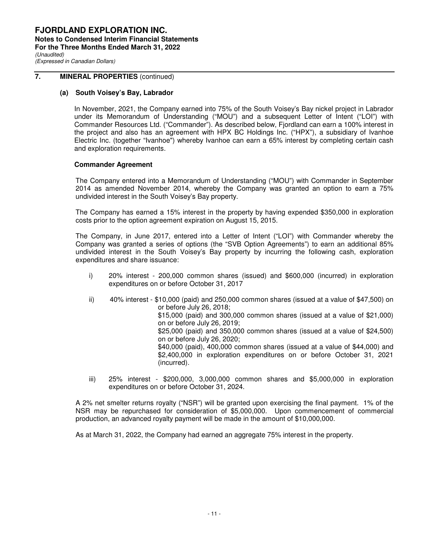### **7. MINERAL PROPERTIES** (continued)

#### **(a) South Voisey's Bay, Labrador**

In November, 2021, the Company earned into 75% of the South Voisey's Bay nickel project in Labrador under its Memorandum of Understanding ("MOU") and a subsequent Letter of Intent ("LOI") with Commander Resources Ltd. ("Commander"). As described below, Fjordland can earn a 100% interest in the project and also has an agreement with HPX BC Holdings Inc. ("HPX"), a subsidiary of Ivanhoe Electric Inc. (together "Ivanhoe") whereby Ivanhoe can earn a 65% interest by completing certain cash and exploration requirements.

#### **Commander Agreement**

The Company entered into a Memorandum of Understanding ("MOU") with Commander in September 2014 as amended November 2014, whereby the Company was granted an option to earn a 75% undivided interest in the South Voisey's Bay property.

The Company has earned a 15% interest in the property by having expended \$350,000 in exploration costs prior to the option agreement expiration on August 15, 2015.

The Company, in June 2017, entered into a Letter of Intent ("LOI") with Commander whereby the Company was granted a series of options (the "SVB Option Agreements") to earn an additional 85% undivided interest in the South Voisey's Bay property by incurring the following cash, exploration expenditures and share issuance:

- i) 20% interest 200,000 common shares (issued) and \$600,000 (incurred) in exploration expenditures on or before October 31, 2017
- ii) 40% interest \$10,000 (paid) and 250,000 common shares (issued at a value of \$47,500) on or before July 26, 2018; \$15,000 (paid) and 300,000 common shares (issued at a value of \$21,000) on or before July 26, 2019; \$25,000 (paid) and 350,000 common shares (issued at a value of \$24,500) on or before July 26, 2020; \$40,000 (paid), 400,000 common shares (issued at a value of \$44,000) and \$2,400,000 in exploration expenditures on or before October 31, 2021 (incurred).
	- iii) 25% interest \$200,000, 3,000,000 common shares and \$5,000,000 in exploration expenditures on or before October 31, 2024.

A 2% net smelter returns royalty ("NSR") will be granted upon exercising the final payment. 1% of the NSR may be repurchased for consideration of \$5,000,000. Upon commencement of commercial production, an advanced royalty payment will be made in the amount of \$10,000,000.

As at March 31, 2022, the Company had earned an aggregate 75% interest in the property.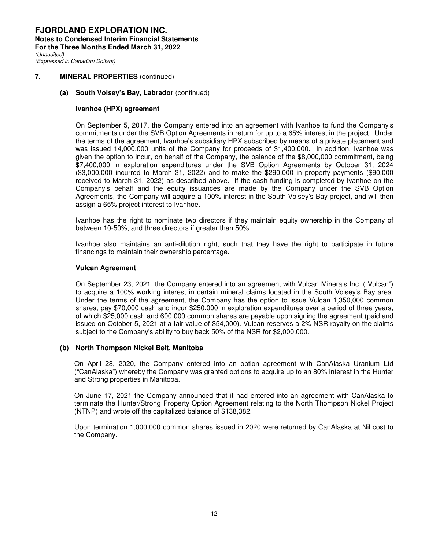**FJORDLAND EXPLORATION INC. Notes to Condensed Interim Financial Statements For the Three Months Ended March 31, 2022**  (Unaudited)

(Expressed in Canadian Dollars)

### **7. MINERAL PROPERTIES** (continued)

#### **(a) South Voisey's Bay, Labrador** (continued)

#### **Ivanhoe (HPX) agreement**

On September 5, 2017, the Company entered into an agreement with Ivanhoe to fund the Company's commitments under the SVB Option Agreements in return for up to a 65% interest in the project. Under the terms of the agreement, Ivanhoe's subsidiary HPX subscribed by means of a private placement and was issued 14,000,000 units of the Company for proceeds of \$1,400,000. In addition, Ivanhoe was given the option to incur, on behalf of the Company, the balance of the \$8,000,000 commitment, being \$7,400,000 in exploration expenditures under the SVB Option Agreements by October 31, 2024 (\$3,000,000 incurred to March 31, 2022) and to make the \$290,000 in property payments (\$90,000 received to March 31, 2022) as described above. If the cash funding is completed by Ivanhoe on the Company's behalf and the equity issuances are made by the Company under the SVB Option Agreements, the Company will acquire a 100% interest in the South Voisey's Bay project, and will then assign a 65% project interest to Ivanhoe.

Ivanhoe has the right to nominate two directors if they maintain equity ownership in the Company of between 10-50%, and three directors if greater than 50%.

Ivanhoe also maintains an anti-dilution right, such that they have the right to participate in future financings to maintain their ownership percentage.

#### **Vulcan Agreement**

On September 23, 2021, the Company entered into an agreement with Vulcan Minerals Inc. ("Vulcan") to acquire a 100% working interest in certain mineral claims located in the South Voisey's Bay area. Under the terms of the agreement, the Company has the option to issue Vulcan 1,350,000 common shares, pay \$70,000 cash and incur \$250,000 in exploration expenditures over a period of three years, of which \$25,000 cash and 600,000 common shares are payable upon signing the agreement (paid and issued on October 5, 2021 at a fair value of \$54,000). Vulcan reserves a 2% NSR royalty on the claims subject to the Company's ability to buy back 50% of the NSR for \$2,000,000.

#### **(b) North Thompson Nickel Belt, Manitoba**

On April 28, 2020, the Company entered into an option agreement with CanAlaska Uranium Ltd ("CanAlaska") whereby the Company was granted options to acquire up to an 80% interest in the Hunter and Strong properties in Manitoba.

On June 17, 2021 the Company announced that it had entered into an agreement with CanAlaska to terminate the Hunter/Strong Property Option Agreement relating to the North Thompson Nickel Project (NTNP) and wrote off the capitalized balance of \$138,382.

Upon termination 1,000,000 common shares issued in 2020 were returned by CanAlaska at Nil cost to the Company.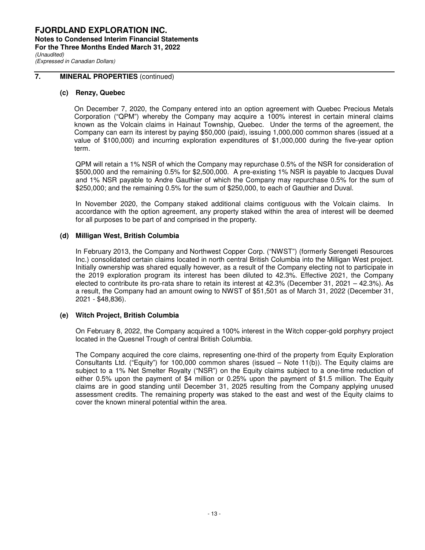### **7. MINERAL PROPERTIES** (continued)

#### **(c) Renzy, Quebec**

On December 7, 2020, the Company entered into an option agreement with Quebec Precious Metals Corporation ("QPM") whereby the Company may acquire a 100% interest in certain mineral claims known as the Volcain claims in Hainaut Township, Quebec. Under the terms of the agreement, the Company can earn its interest by paying \$50,000 (paid), issuing 1,000,000 common shares (issued at a value of \$100,000) and incurring exploration expenditures of \$1,000,000 during the five-year option term.

QPM will retain a 1% NSR of which the Company may repurchase 0.5% of the NSR for consideration of \$500,000 and the remaining 0.5% for \$2,500,000. A pre-existing 1% NSR is payable to Jacques Duval and 1% NSR payable to Andre Gauthier of which the Company may repurchase 0.5% for the sum of \$250,000; and the remaining 0.5% for the sum of \$250,000, to each of Gauthier and Duval.

In November 2020, the Company staked additional claims contiguous with the Volcain claims. In accordance with the option agreement, any property staked within the area of interest will be deemed for all purposes to be part of and comprised in the property.

#### **(d) Milligan West, British Columbia**

 In February 2013, the Company and Northwest Copper Corp. ("NWST") (formerly Serengeti Resources Inc.) consolidated certain claims located in north central British Columbia into the Milligan West project. Initially ownership was shared equally however, as a result of the Company electing not to participate in the 2019 exploration program its interest has been diluted to 42.3%. Effective 2021, the Company elected to contribute its pro-rata share to retain its interest at 42.3% (December 31, 2021 – 42.3%). As a result, the Company had an amount owing to NWST of \$51,501 as of March 31, 2022 (December 31, 2021 - \$48,836).

#### **(e) Witch Project, British Columbia**

On February 8, 2022, the Company acquired a 100% interest in the Witch copper-gold porphyry project located in the Quesnel Trough of central British Columbia.

The Company acquired the core claims, representing one-third of the property from Equity Exploration Consultants Ltd. ("Equity") for 100,000 common shares (issued – Note 11(b)). The Equity claims are subject to a 1% Net Smelter Royalty ("NSR") on the Equity claims subject to a one-time reduction of either 0.5% upon the payment of \$4 million or 0.25% upon the payment of \$1.5 million. The Equity claims are in good standing until December 31, 2025 resulting from the Company applying unused assessment credits. The remaining property was staked to the east and west of the Equity claims to cover the known mineral potential within the area.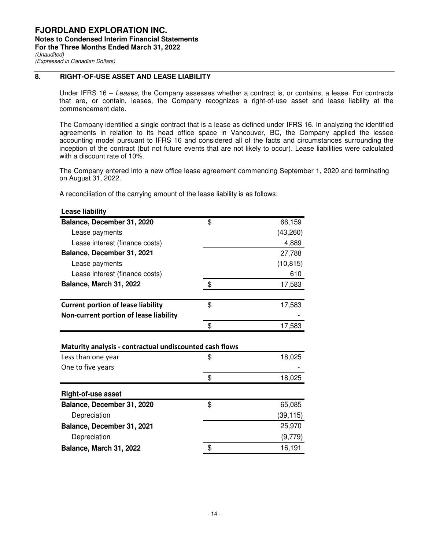### **8. RIGHT-OF-USE ASSET AND LEASE LIABILITY**

Under IFRS 16 – Leases, the Company assesses whether a contract is, or contains, a lease. For contracts that are, or contain, leases, the Company recognizes a right-of-use asset and lease liability at the commencement date.

The Company identified a single contract that is a lease as defined under IFRS 16. In analyzing the identified agreements in relation to its head office space in Vancouver, BC, the Company applied the lessee accounting model pursuant to IFRS 16 and considered all of the facts and circumstances surrounding the inception of the contract (but not future events that are not likely to occur). Lease liabilities were calculated with a discount rate of 10%.

The Company entered into a new office lease agreement commencing September 1, 2020 and terminating on August 31, 2022.

A reconciliation of the carrying amount of the lease liability is as follows:

| Balance, December 31, 2020                              | \$<br>66,159 |
|---------------------------------------------------------|--------------|
| Lease payments                                          | (43, 260)    |
| Lease interest (finance costs)                          | 4,889        |
| Balance, December 31, 2021                              | 27,788       |
| Lease payments                                          | (10, 815)    |
| Lease interest (finance costs)                          | 610          |
| Balance, March 31, 2022                                 | \$<br>17,583 |
| <b>Current portion of lease liability</b>               | \$<br>17,583 |
| Non-current portion of lease liability                  |              |
|                                                         | \$<br>17,583 |
|                                                         |              |
| Maturity analysis - contractual undiscounted cash flows |              |
| Less than one year                                      | \$<br>18,025 |
| One to five years                                       |              |
|                                                         | \$<br>18,025 |
| <b>Right-of-use asset</b>                               |              |
| Balance, December 31, 2020                              | \$<br>65,085 |
| Depreciation                                            | (39,115)     |
| Balance, December 31, 2021                              | 25,970       |
| Depreciation                                            | (9,779)      |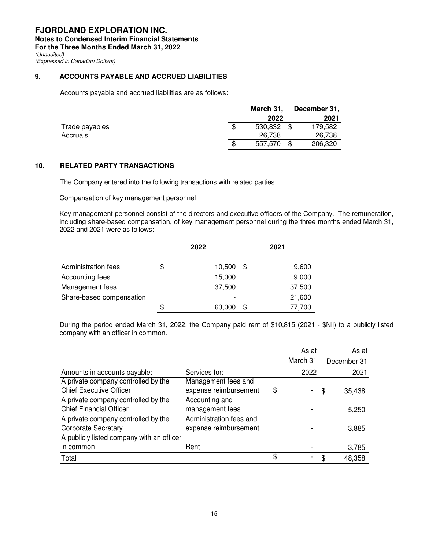(Expressed in Canadian Dollars)

### **9. ACCOUNTS PAYABLE AND ACCRUED LIABILITIES**

Accounts payable and accrued liabilities are as follows:

|                |     | March 31. |      | December 31, |
|----------------|-----|-----------|------|--------------|
|                |     | 2022      |      | 2021         |
| Trade payables | \$. | 530.832   | - \$ | 179.582      |
| Accruals       |     | 26.738    |      | 26,738       |
|                | \$. | 557.570   |      | 206,320      |

### **10. RELATED PARTY TRANSACTIONS**

The Company entered into the following transactions with related parties:

Compensation of key management personnel

Key management personnel consist of the directors and executive officers of the Company. The remuneration, including share-based compensation, of key management personnel during the three months ended March 31, 2022 and 2021 were as follows:

|                          | 2022         |    | 2021   |
|--------------------------|--------------|----|--------|
|                          |              |    |        |
| Administration fees      | \$<br>10,500 | S  | 9,600  |
| Accounting fees          | 15,000       |    | 9,000  |
| Management fees          | 37,500       |    | 37,500 |
| Share-based compensation |              |    | 21,600 |
|                          | \$<br>63,000 | \$ | 77,700 |

During the period ended March 31, 2022, the Company paid rent of \$10,815 (2021 - \$Nil) to a publicly listed company with an officer in common.

|                                           |                         | As at    |    | As at       |
|-------------------------------------------|-------------------------|----------|----|-------------|
|                                           |                         | March 31 |    | December 31 |
| Amounts in accounts payable:              | Services for:           | 2022     |    | 2021        |
| A private company controlled by the       | Management fees and     |          |    |             |
| <b>Chief Executive Officer</b>            | expense reimbursement   | \$       | \$ | 35,438      |
| A private company controlled by the       | Accounting and          |          |    |             |
| <b>Chief Financial Officer</b>            | management fees         |          |    | 5,250       |
| A private company controlled by the       | Administration fees and |          |    |             |
| <b>Corporate Secretary</b>                | expense reimbursement   |          |    | 3,885       |
| A publicly listed company with an officer |                         |          |    |             |
| in common                                 | Rent                    |          |    | 3,785       |
| Total                                     |                         | \$       | S  | 48,358      |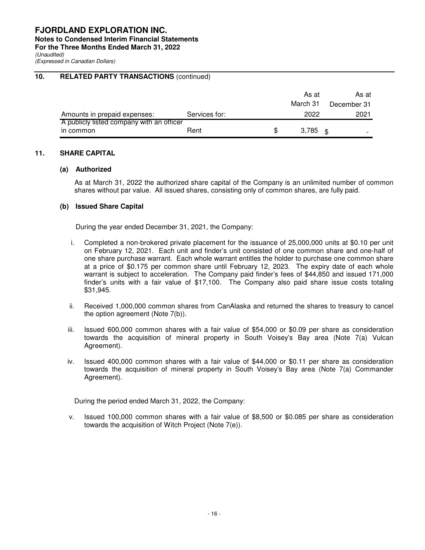**Notes to Condensed Interim Financial Statements** 

**For the Three Months Ended March 31, 2022** 

(Unaudited)

(Expressed in Canadian Dollars)

### **10. RELATED PARTY TRANSACTIONS (continued)**

|                                           |               | As at<br>March 31   | As at<br>December 31 |
|-------------------------------------------|---------------|---------------------|----------------------|
| Amounts in prepaid expenses:              | Services for: | 2022                | 2021                 |
| A publicly listed company with an officer |               |                     |                      |
| in common                                 | Rent          | 3,785 $\frac{1}{3}$ |                      |

### **11. SHARE CAPITAL**

#### **(a) Authorized**

As at March 31, 2022 the authorized share capital of the Company is an unlimited number of common shares without par value. All issued shares, consisting only of common shares, are fully paid.

#### **(b) Issued Share Capital**

During the year ended December 31, 2021, the Company:

- i. Completed a non-brokered private placement for the issuance of 25,000,000 units at \$0.10 per unit on February 12, 2021. Each unit and finder's unit consisted of one common share and one-half of one share purchase warrant. Each whole warrant entitles the holder to purchase one common share at a price of \$0.175 per common share until February 12, 2023. The expiry date of each whole warrant is subject to acceleration. The Company paid finder's fees of \$44,850 and issued 171,000 finder's units with a fair value of \$17,100. The Company also paid share issue costs totaling \$31,945.
- ii. Received 1,000,000 common shares from CanAlaska and returned the shares to treasury to cancel the option agreement (Note 7(b)).
- iii. Issued 600,000 common shares with a fair value of \$54,000 or \$0.09 per share as consideration towards the acquisition of mineral property in South Voisey's Bay area (Note 7(a) Vulcan Agreement).
- iv. Issued 400,000 common shares with a fair value of \$44,000 or \$0.11 per share as consideration towards the acquisition of mineral property in South Voisey's Bay area (Note 7(a) Commander Agreement).

During the period ended March 31, 2022, the Company:

v. Issued 100,000 common shares with a fair value of \$8,500 or \$0.085 per share as consideration towards the acquisition of Witch Project (Note 7(e)).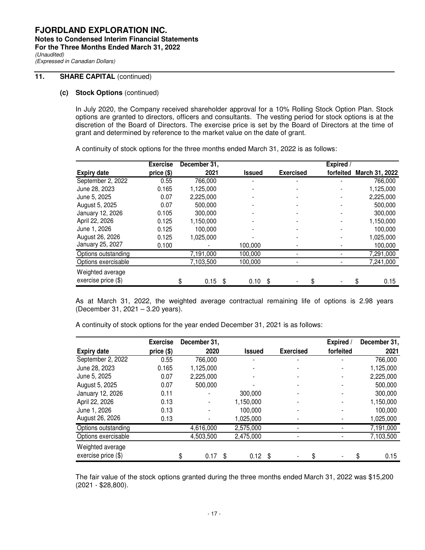### **11.** SHARE CAPITAL (continued)

#### **(c) Stock Options** (continued)

In July 2020, the Company received shareholder approval for a 10% Rolling Stock Option Plan. Stock options are granted to directors, officers and consultants. The vesting period for stock options is at the discretion of the Board of Directors. The exercise price is set by the Board of Directors at the time of grant and determined by reference to the market value on the date of grant.

A continuity of stock options for the three months ended March 31, 2022 is as follows:

|                       | <b>Exercise</b> | December 31,    |               |     |                  | <b>Expired</b> / |                |
|-----------------------|-----------------|-----------------|---------------|-----|------------------|------------------|----------------|
| <b>Expiry date</b>    | price (\$)      | 2021            | <b>Issued</b> |     | <b>Exercised</b> | forfeited        | March 31, 2022 |
| September 2, 2022     | 0.55            | 766,000         |               |     |                  |                  | 766,000        |
| June 28, 2023         | 0.165           | 1,125,000       |               |     |                  |                  | 1,125,000      |
| June 5, 2025          | 0.07            | 2,225,000       |               |     |                  |                  | 2,225,000      |
| August 5, 2025        | 0.07            | 500.000         |               |     |                  |                  | 500.000        |
| January 12, 2026      | 0.105           | 300,000         |               |     |                  |                  | 300,000        |
| April 22, 2026        | 0.125           | 1,150,000       |               |     |                  |                  | 1,150,000      |
| June 1, 2026          | 0.125           | 100.000         |               |     |                  |                  | 100.000        |
| August 26, 2026       | 0.125           | 1,025,000       |               |     |                  |                  | 1,025,000      |
| January 25, 2027      | 0.100           |                 | 100,000       |     |                  |                  | 100,000        |
| Options outstanding   |                 | 7,191,000       | 100,000       |     |                  |                  | 7,291,000      |
| Options exercisable   |                 | 7,103,500       | 100,000       |     |                  |                  | 7,241,000      |
| Weighted average      |                 |                 |               |     |                  |                  |                |
| exercise price $(\$)$ |                 | $0.15$ \$<br>\$ | 0.10          | -\$ |                  |                  | 0.15           |

As at March 31, 2022, the weighted average contractual remaining life of options is 2.98 years (December 31, 2021 – 3.20 years).

A continuity of stock options for the year ended December 31, 2021 is as follows:

|                       | <b>Exercise</b> | December 31, |               |                  | Expired /      | December 31, |
|-----------------------|-----------------|--------------|---------------|------------------|----------------|--------------|
| <b>Expiry date</b>    | price (\$)      | 2020         | <b>Issued</b> | <b>Exercised</b> | forfeited      | 2021         |
| September 2, 2022     | 0.55            | 766,000      |               |                  |                | 766,000      |
| June 28, 2023         | 0.165           | 1,125,000    |               |                  |                | 1,125,000    |
| June 5, 2025          | 0.07            | 2,225,000    |               |                  |                | 2,225,000    |
| August 5, 2025        | 0.07            | 500,000      |               |                  |                | 500,000      |
| January 12, 2026      | 0.11            |              | 300,000       |                  |                | 300,000      |
| April 22, 2026        | 0.13            |              | 1,150,000     |                  |                | 1,150,000    |
| June 1, 2026          | 0.13            |              | 100,000       |                  | $\blacksquare$ | 100,000      |
| August 26, 2026       | 0.13            |              | 1,025,000     |                  |                | 1,025,000    |
| Options outstanding   |                 | 4,616,000    | 2,575,000     |                  |                | 7,191,000    |
| Options exercisable   |                 | 4,503,500    | 2,475,000     |                  |                | 7,103,500    |
| Weighted average      |                 |              |               |                  |                |              |
| exercise price $(\$)$ |                 | 0.17<br>\$   | \$<br>0.12    | \$               |                | 0.15         |

The fair value of the stock options granted during the three months ended March 31, 2022 was \$15,200 (2021 - \$28,800).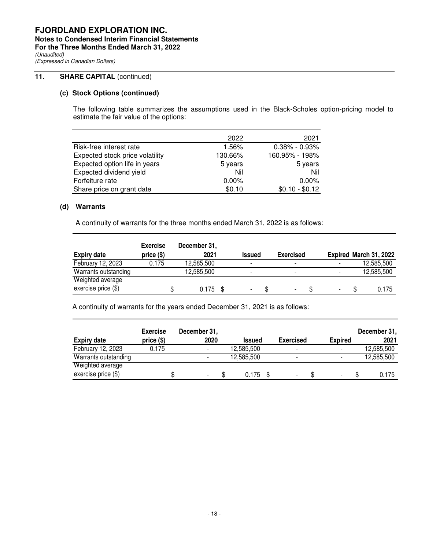## **FJORDLAND EXPLORATION INC. Notes to Condensed Interim Financial Statements**

**For the Three Months Ended March 31, 2022** 

(Unaudited) (Expressed in Canadian Dollars)

### **11.** SHARE CAPITAL (continued)

### **(c) Stock Options (continued)**

The following table summarizes the assumptions used in the Black-Scholes option-pricing model to estimate the fair value of the options:

|                                 | 2022     | 2021              |
|---------------------------------|----------|-------------------|
| Risk-free interest rate         | 1.56%    | $0.38\% - 0.93\%$ |
| Expected stock price volatility | 130.66%  | 160.95% - 198%    |
| Expected option life in years   | 5 years  | 5 years           |
| Expected dividend yield         | Nil      | Nil               |
| Forfeiture rate                 | $0.00\%$ | $0.00\%$          |
| Share price on grant date       | \$0.10   | $$0.10 - $0.12$   |

### **(d) Warrants**

A continuity of warrants for the three months ended March 31, 2022 is as follows:

| <b>Expiry date</b>    | <b>Exercise</b><br>price (\$) | December 31,<br>2021 | <b>Issued</b>            | <b>Exercised</b>         |                          | Expired March 31, 2022 |
|-----------------------|-------------------------------|----------------------|--------------------------|--------------------------|--------------------------|------------------------|
| February 12, 2023     | 0.175                         | 12.585.500           | $\overline{\phantom{0}}$ | $\blacksquare$           |                          | 12,585,500             |
| Warrants outstanding  |                               | 12,585,500           | $\overline{\phantom{0}}$ | $\blacksquare$           |                          | 12,585,500             |
| Weighted average      |                               |                      |                          |                          |                          |                        |
| exercise price $(\$)$ |                               | 0.175                | -                        | $\overline{\phantom{a}}$ | $\overline{\phantom{0}}$ | 0.175                  |

A continuity of warrants for the years ended December 31, 2021 is as follows:

| <b>Expiry date</b>    | <b>Exercise</b><br>price (\$) | December 31,<br>2020     | <b>Issued</b> | <b>Exercised</b>         | <b>Expired</b>           | December 31,<br>2021 |
|-----------------------|-------------------------------|--------------------------|---------------|--------------------------|--------------------------|----------------------|
| February 12, 2023     | 0.175                         | $\overline{\phantom{0}}$ | 12,585,500    | -                        | $\overline{\phantom{0}}$ | 12,585,500           |
| Warrants outstanding  |                               |                          | 12.585.500    | $\overline{\phantom{0}}$ | $\overline{\phantom{a}}$ | 12,585,500           |
| Weighted average      |                               |                          |               |                          |                          |                      |
| exercise price $(\$)$ |                               |                          | 0.175         | ٠                        | $\overline{\phantom{a}}$ | 0.175                |